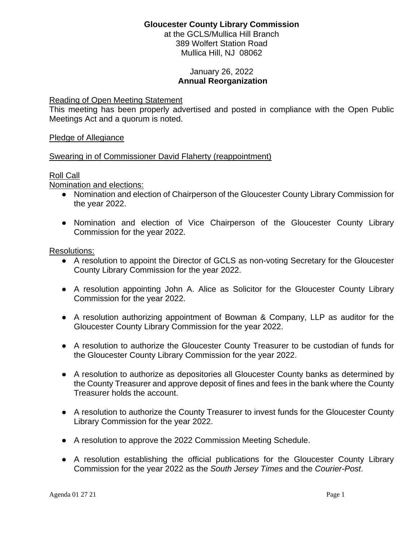# **Gloucester County Library Commission**

at the GCLS/Mullica Hill Branch 389 Wolfert Station Road Mullica Hill, NJ 08062

### January 26, 2022 **Annual Reorganization**

#### Reading of Open Meeting Statement

This meeting has been properly advertised and posted in compliance with the Open Public Meetings Act and a quorum is noted.

Pledge of Allegiance

#### Swearing in of Commissioner David Flaherty (reappointment)

#### Roll Call

Nomination and elections:

- Nomination and election of Chairperson of the Gloucester County Library Commission for the year 2022.
- Nomination and election of Vice Chairperson of the Gloucester County Library Commission for the year 2022.

Resolutions:

- A resolution to appoint the Director of GCLS as non-voting Secretary for the Gloucester County Library Commission for the year 2022.
- A resolution appointing John A. Alice as Solicitor for the Gloucester County Library Commission for the year 2022.
- A resolution authorizing appointment of Bowman & Company, LLP as auditor for the Gloucester County Library Commission for the year 2022.
- A resolution to authorize the Gloucester County Treasurer to be custodian of funds for the Gloucester County Library Commission for the year 2022.
- A resolution to authorize as depositories all Gloucester County banks as determined by the County Treasurer and approve deposit of fines and fees in the bank where the County Treasurer holds the account.
- A resolution to authorize the County Treasurer to invest funds for the Gloucester County Library Commission for the year 2022.
- A resolution to approve the 2022 Commission Meeting Schedule.
- A resolution establishing the official publications for the Gloucester County Library Commission for the year 2022 as the *South Jersey Times* and the *Courier-Post*.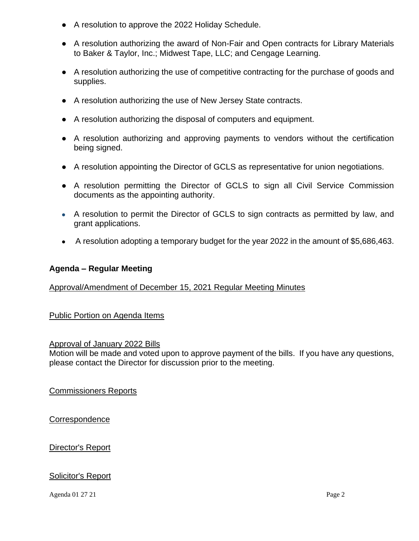- A resolution to approve the 2022 Holiday Schedule.
- A resolution authorizing the award of Non-Fair and Open contracts for Library Materials to Baker & Taylor, Inc.; Midwest Tape, LLC; and Cengage Learning.
- A resolution authorizing the use of competitive contracting for the purchase of goods and supplies.
- A resolution authorizing the use of New Jersey State contracts.
- A resolution authorizing the disposal of computers and equipment.
- A resolution authorizing and approving payments to vendors without the certification being signed.
- A resolution appointing the Director of GCLS as representative for union negotiations.
- A resolution permitting the Director of GCLS to sign all Civil Service Commission documents as the appointing authority.
- A resolution to permit the Director of GCLS to sign contracts as permitted by law, and grant applications.
- A resolution adopting a temporary budget for the year 2022 in the amount of \$5,686,463.

## **Agenda – Regular Meeting**

## Approval/Amendment of December 15, 2021 Regular Meeting Minutes

Public Portion on Agenda Items

#### Approval of January 2022 Bills

Motion will be made and voted upon to approve payment of the bills. If you have any questions, please contact the Director for discussion prior to the meeting.

Commissioners Reports

**Correspondence** 

Director's Report

## Solicitor's Report

Agenda 01 27 21 Page 2